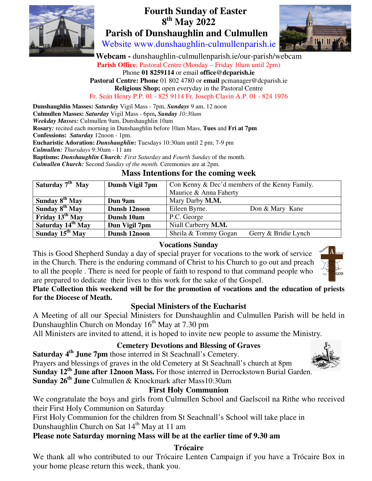

# **Fourth Sunday of Easter 8 th May 2022 Parish of Dunshaughlin and Culmullen**



Website www.dunshaughlin-culmullenparish.ie

 **Webcam -** dunshaughlin-culmullenparish.ie/our-parish/webcam **Parish Office**; Pastoral Centre (Monday – Friday 10am until 2pm) Phone **01 8259114** or email **office@dcparish.ie Pastoral Centre: Phone** 01 802 4780 or **email** pcmanager@dcparish.ie **Religious Shop;** open everyday in the Pastoral Centre Fr. Seán Henry P.P. 01 - 825 9114 Fr. Joseph Clavin A.P. 01 - 824 1976

**Dunshaughlin Masses:** *Saturday* Vigil Mass - 7pm, *Sundays* 9 am, 12 noon **Culmullen Masses:** *Saturday* Vigil Mass - 6pm**,** *Sunday 10:30am Weekday Masses:* Culmullen 9am, Dunshaughlin 10am **Rosary***:* recited each morning in Dunshaughlin before 10am Mass, **Tues** and **Fri at 7pm Confessions:** *Saturday* 12noon - 1pm. **Eucharistic Adoration:** *Dunshaughlin***:** Tuesdays 10:30am until 2 pm; 7-9 pm *Culmullen: Thursdays* 9:30am - 11 am **Baptisms:** *Dunshaughlin Church: First Saturday* and *Fourth Sunday* of the month. *Culmullen Church:* Second *Sunday of the month.* Ceremonies are at 2pm.

# **Mass Intentions for the coming week**

| Saturday 7 <sup>th</sup> May  | Dunsh Vigil 7pm | Con Kenny & Dec'd members of the Kenny Family. |                      |
|-------------------------------|-----------------|------------------------------------------------|----------------------|
|                               |                 | Maurice & Anna Faherty                         |                      |
| Sunday $8^{th}$ May           | Dun 9am         | Mary Darby M.M.                                |                      |
| Sunday $8^{th}$ May           | Dunsh 12noon    | Eileen Byrne.                                  | Don & Mary Kane      |
| Friday 13 <sup>th</sup> May   | Dunsh 10am      | P.C. George                                    |                      |
| Saturday 14 <sup>th</sup> May | Dun Vigil 7pm   | Niall Carberry M.M.                            |                      |
| Sunday $15^{th}$ May          | Dunsh 12noon    | Sheila & Tommy Gogan                           | Gerry & Bridie Lynch |

# **Vocations Sunday**

This is Good Shepherd Sunday a day of special prayer for vocations to the work of service in the Church. There is the enduring command of Christ to his Church to go out and preach to all the people . There is need for people of faith to respond to that command people who are prepared to dedicate their lives to this work for the sake of the Gospel.



**Plate Collection this weekend will be for the promotion of vocations and the education of priests for the Diocese of Meath.** 

# **Special Ministers of the Eucharist**

A Meeting of all our Special Ministers for Dunshaughlin and Culmullen Parish will be held in Dunshaughlin Church on Monday  $16<sup>th</sup>$  May at 7.30 pm

All Ministers are invited to attend, it is hoped to invite new people to assume the Ministry.

# **Cemetery Devotions and Blessing of Graves**

**Saturday 4th June 7pm** those interred in St Seachnall's Cemetery. Prayers and blessings of graves in the old Cemetery at St Seachnall's church at 8pm **Sunday 12th June after 12noon Mass.** For those interred in Derrockstown Burial Garden. **Sunday 26th June** Culmullen & Knockmark after Mass10:30am

#### **First Holy Communion**

We congratulate the boys and girls from Culmullen School and Gaelscoil na Rithe who received their First Holy Communion on Saturday

First Holy Communion for the children from St Seachnall's School will take place in Dunshaughlin Church on Sat  $14<sup>th</sup>$  May at 11 am

# **Please note Saturday morning Mass will be at the earlier time of 9.30 am**

#### **Trócaire**

We thank all who contributed to our Trócaire Lenten Campaign if you have a Trócaire Box in your home please return this week, thank you.